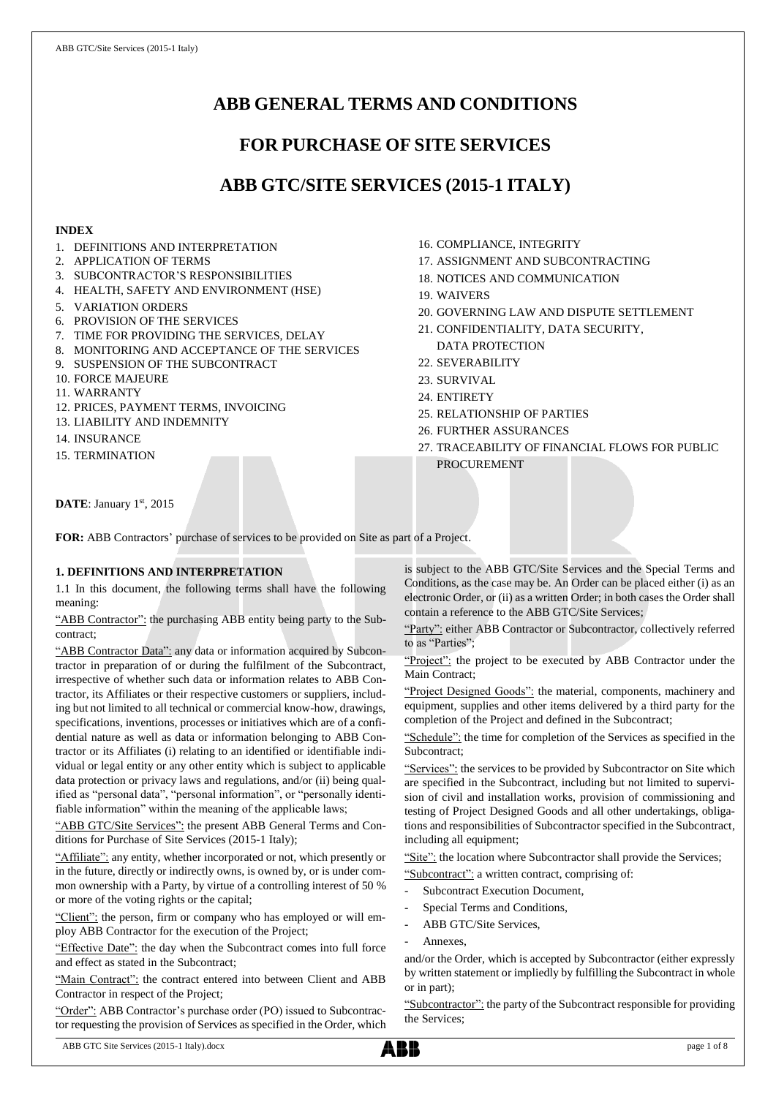# **ABB GENERAL TERMS AND CONDITIONS**

## **FOR PURCHASE OF SITE SERVICES**

## **ABB GTC/SITE SERVICES (2015-1 ITALY)**

### **INDEX**

- 1. DEFINITIONS AND INTERPRETATION
- 2. APPLICATION OF TERMS
- 3. SUBCONTRACTOR'S RESPONSIBILITIES
- 4. HEALTH, SAFETY AND ENVIRONMENT (HSE)
- 5. VARIATION ORDERS
- 6. PROVISION OF THE SERVICES
- 7. TIME FOR PROVIDING THE SERVICES, DELAY
- 8. MONITORING AND ACCEPTANCE OF THE SERVICES
- 9. SUSPENSION OF THE SUBCONTRACT
- 10. FORCE MAJEURE
- 11. WARRANTY
- 12. PRICES, PAYMENT TERMS, INVOICING
- 13. LIABILITY AND INDEMNITY
- 14. INSURANCE
- 15. TERMINATION
- 16. COMPLIANCE, INTEGRITY
- 17. ASSIGNMENT AND SUBCONTRACTING
- 18. NOTICES AND COMMUNICATION
- 19. WAIVERS
- 20. GOVERNING LAW AND DISPUTE SETTLEMENT
- 21. CONFIDENTIALITY, DATA SECURITY, DATA PROTECTION
- 22. SEVERABILITY
- 23. SURVIVAL
- 24. ENTIRETY
- 25. RELATIONSHIP OF PARTIES
- 26. FURTHER ASSURANCES
- 27. TRACEABILITY OF FINANCIAL FLOWS FOR PUBLIC PROCUREMENT

DATE: January 1st, 2015

**FOR:** ABB Contractors' purchase of services to be provided on Site as part of a Project.

## **1. DEFINITIONS AND INTERPRETATION**

1.1 In this document, the following terms shall have the following meaning:

"ABB Contractor": the purchasing ABB entity being party to the Subcontract;

"ABB Contractor Data": any data or information acquired by Subcontractor in preparation of or during the fulfilment of the Subcontract, irrespective of whether such data or information relates to ABB Contractor, its Affiliates or their respective customers or suppliers, including but not limited to all technical or commercial know-how, drawings, specifications, inventions, processes or initiatives which are of a confidential nature as well as data or information belonging to ABB Contractor or its Affiliates (i) relating to an identified or identifiable individual or legal entity or any other entity which is subject to applicable data protection or privacy laws and regulations, and/or (ii) being qualified as "personal data", "personal information", or "personally identifiable information" within the meaning of the applicable laws;

"ABB GTC/Site Services": the present ABB General Terms and Conditions for Purchase of Site Services (2015-1 Italy);

"Affiliate": any entity, whether incorporated or not, which presently or in the future, directly or indirectly owns, is owned by, or is under common ownership with a Party, by virtue of a controlling interest of 50 % or more of the voting rights or the capital;

"Client": the person, firm or company who has employed or will employ ABB Contractor for the execution of the Project;

"Effective Date": the day when the Subcontract comes into full force and effect as stated in the Subcontract;

"Main Contract": the contract entered into between Client and ABB Contractor in respect of the Project;

"Order": ABB Contractor's purchase order (PO) issued to Subcontractor requesting the provision of Services as specified in the Order, which is subject to the ABB GTC/Site Services and the Special Terms and Conditions, as the case may be. An Order can be placed either (i) as an electronic Order, or (ii) as a written Order; in both cases the Order shall contain a reference to the ABB GTC/Site Services;

"Party": either ABB Contractor or Subcontractor, collectively referred to as "Parties";

"Project": the project to be executed by ABB Contractor under the Main Contract;

"Project Designed Goods": the material, components, machinery and equipment, supplies and other items delivered by a third party for the completion of the Project and defined in the Subcontract;

"Schedule": the time for completion of the Services as specified in the Subcontract;

"Services": the services to be provided by Subcontractor on Site which are specified in the Subcontract, including but not limited to supervision of civil and installation works, provision of commissioning and testing of Project Designed Goods and all other undertakings, obligations and responsibilities of Subcontractor specified in the Subcontract, including all equipment;

"Site": the location where Subcontractor shall provide the Services;

"Subcontract": a written contract, comprising of:

- Subcontract Execution Document,
- Special Terms and Conditions,
- ABB GTC/Site Services,
- Annexes,

and/or the Order, which is accepted by Subcontractor (either expressly by written statement or impliedly by fulfilling the Subcontract in whole or in part);

"Subcontractor": the party of the Subcontract responsible for providing the Services;

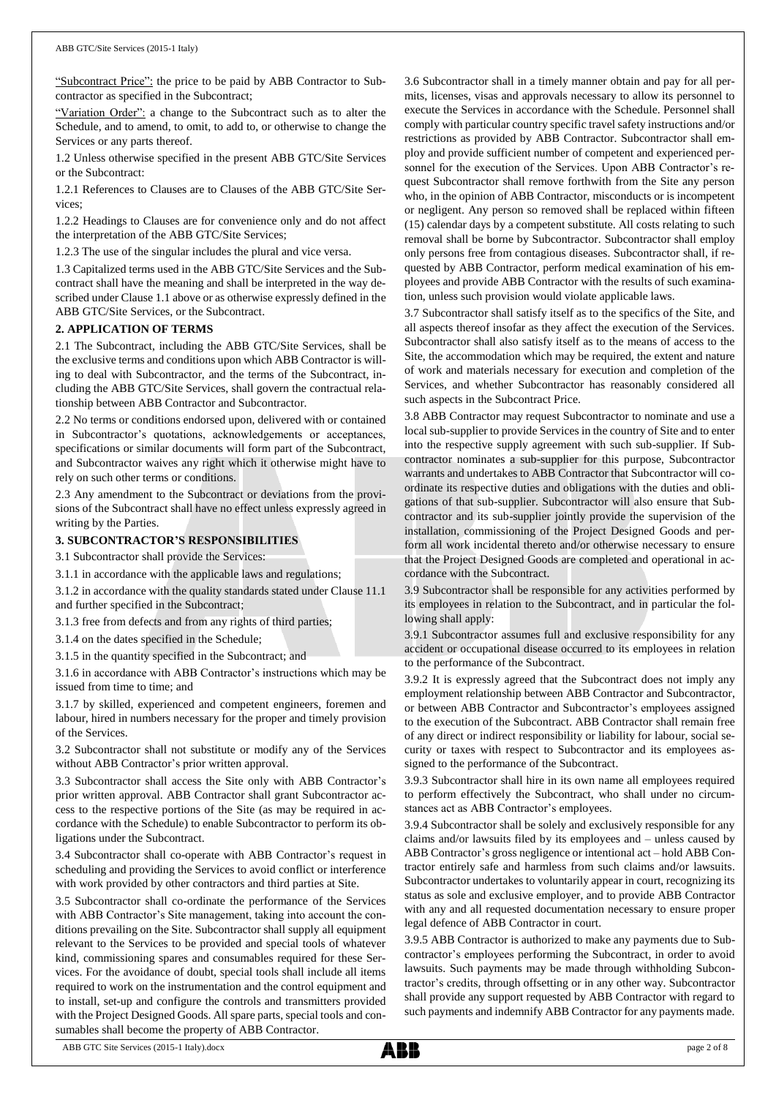"Subcontract Price": the price to be paid by ABB Contractor to Subcontractor as specified in the Subcontract;

"Variation Order": a change to the Subcontract such as to alter the Schedule, and to amend, to omit, to add to, or otherwise to change the Services or any parts thereof.

1.2 Unless otherwise specified in the present ABB GTC/Site Services or the Subcontract:

1.2.1 References to Clauses are to Clauses of the ABB GTC/Site Services;

1.2.2 Headings to Clauses are for convenience only and do not affect the interpretation of the ABB GTC/Site Services;

1.2.3 The use of the singular includes the plural and vice versa.

1.3 Capitalized terms used in the ABB GTC/Site Services and the Subcontract shall have the meaning and shall be interpreted in the way described under Clause 1.1 above or as otherwise expressly defined in the ABB GTC/Site Services, or the Subcontract.

#### **2. APPLICATION OF TERMS**

2.1 The Subcontract, including the ABB GTC/Site Services, shall be the exclusive terms and conditions upon which ABB Contractor is willing to deal with Subcontractor, and the terms of the Subcontract, including the ABB GTC/Site Services, shall govern the contractual relationship between ABB Contractor and Subcontractor.

2.2 No terms or conditions endorsed upon, delivered with or contained in Subcontractor's quotations, acknowledgements or acceptances, specifications or similar documents will form part of the Subcontract, and Subcontractor waives any right which it otherwise might have to rely on such other terms or conditions.

2.3 Any amendment to the Subcontract or deviations from the provisions of the Subcontract shall have no effect unless expressly agreed in writing by the Parties.

#### **3. SUBCONTRACTOR'S RESPONSIBILITIES**

3.1 Subcontractor shall provide the Services:

3.1.1 in accordance with the applicable laws and regulations;

3.1.2 in accordance with the quality standards stated under Clause 11.1 and further specified in the Subcontract;

3.1.3 free from defects and from any rights of third parties;

3.1.4 on the dates specified in the Schedule;

3.1.5 in the quantity specified in the Subcontract; and

3.1.6 in accordance with ABB Contractor's instructions which may be issued from time to time; and

3.1.7 by skilled, experienced and competent engineers, foremen and labour, hired in numbers necessary for the proper and timely provision of the Services.

3.2 Subcontractor shall not substitute or modify any of the Services without ABB Contractor's prior written approval.

3.3 Subcontractor shall access the Site only with ABB Contractor's prior written approval. ABB Contractor shall grant Subcontractor access to the respective portions of the Site (as may be required in accordance with the Schedule) to enable Subcontractor to perform its obligations under the Subcontract.

3.4 Subcontractor shall co-operate with ABB Contractor's request in scheduling and providing the Services to avoid conflict or interference with work provided by other contractors and third parties at Site.

3.5 Subcontractor shall co-ordinate the performance of the Services with ABB Contractor's Site management, taking into account the conditions prevailing on the Site. Subcontractor shall supply all equipment relevant to the Services to be provided and special tools of whatever kind, commissioning spares and consumables required for these Services. For the avoidance of doubt, special tools shall include all items required to work on the instrumentation and the control equipment and to install, set-up and configure the controls and transmitters provided with the Project Designed Goods. All spare parts, special tools and consumables shall become the property of ABB Contractor.

3.6 Subcontractor shall in a timely manner obtain and pay for all permits, licenses, visas and approvals necessary to allow its personnel to execute the Services in accordance with the Schedule. Personnel shall comply with particular country specific travel safety instructions and/or restrictions as provided by ABB Contractor. Subcontractor shall employ and provide sufficient number of competent and experienced personnel for the execution of the Services. Upon ABB Contractor's request Subcontractor shall remove forthwith from the Site any person who, in the opinion of ABB Contractor, misconducts or is incompetent or negligent. Any person so removed shall be replaced within fifteen (15) calendar days by a competent substitute. All costs relating to such removal shall be borne by Subcontractor. Subcontractor shall employ only persons free from contagious diseases. Subcontractor shall, if requested by ABB Contractor, perform medical examination of his employees and provide ABB Contractor with the results of such examination, unless such provision would violate applicable laws.

3.7 Subcontractor shall satisfy itself as to the specifics of the Site, and all aspects thereof insofar as they affect the execution of the Services. Subcontractor shall also satisfy itself as to the means of access to the Site, the accommodation which may be required, the extent and nature of work and materials necessary for execution and completion of the Services, and whether Subcontractor has reasonably considered all such aspects in the Subcontract Price.

3.8 ABB Contractor may request Subcontractor to nominate and use a local sub-supplier to provide Services in the country of Site and to enter into the respective supply agreement with such sub-supplier. If Subcontractor nominates a sub-supplier for this purpose, Subcontractor warrants and undertakes to ABB Contractor that Subcontractor will coordinate its respective duties and obligations with the duties and obligations of that sub-supplier. Subcontractor will also ensure that Subcontractor and its sub-supplier jointly provide the supervision of the installation, commissioning of the Project Designed Goods and perform all work incidental thereto and/or otherwise necessary to ensure that the Project Designed Goods are completed and operational in accordance with the Subcontract.

3.9 Subcontractor shall be responsible for any activities performed by its employees in relation to the Subcontract, and in particular the following shall apply:

3.9.1 Subcontractor assumes full and exclusive responsibility for any accident or occupational disease occurred to its employees in relation to the performance of the Subcontract.

3.9.2 It is expressly agreed that the Subcontract does not imply any employment relationship between ABB Contractor and Subcontractor, or between ABB Contractor and Subcontractor's employees assigned to the execution of the Subcontract. ABB Contractor shall remain free of any direct or indirect responsibility or liability for labour, social security or taxes with respect to Subcontractor and its employees assigned to the performance of the Subcontract.

3.9.3 Subcontractor shall hire in its own name all employees required to perform effectively the Subcontract, who shall under no circumstances act as ABB Contractor's employees.

3.9.4 Subcontractor shall be solely and exclusively responsible for any claims and/or lawsuits filed by its employees and – unless caused by ABB Contractor's gross negligence or intentional act – hold ABB Contractor entirely safe and harmless from such claims and/or lawsuits. Subcontractor undertakes to voluntarily appear in court, recognizing its status as sole and exclusive employer, and to provide ABB Contractor with any and all requested documentation necessary to ensure proper legal defence of ABB Contractor in court.

3.9.5 ABB Contractor is authorized to make any payments due to Subcontractor's employees performing the Subcontract, in order to avoid lawsuits. Such payments may be made through withholding Subcontractor's credits, through offsetting or in any other way. Subcontractor shall provide any support requested by ABB Contractor with regard to such payments and indemnify ABB Contractor for any payments made.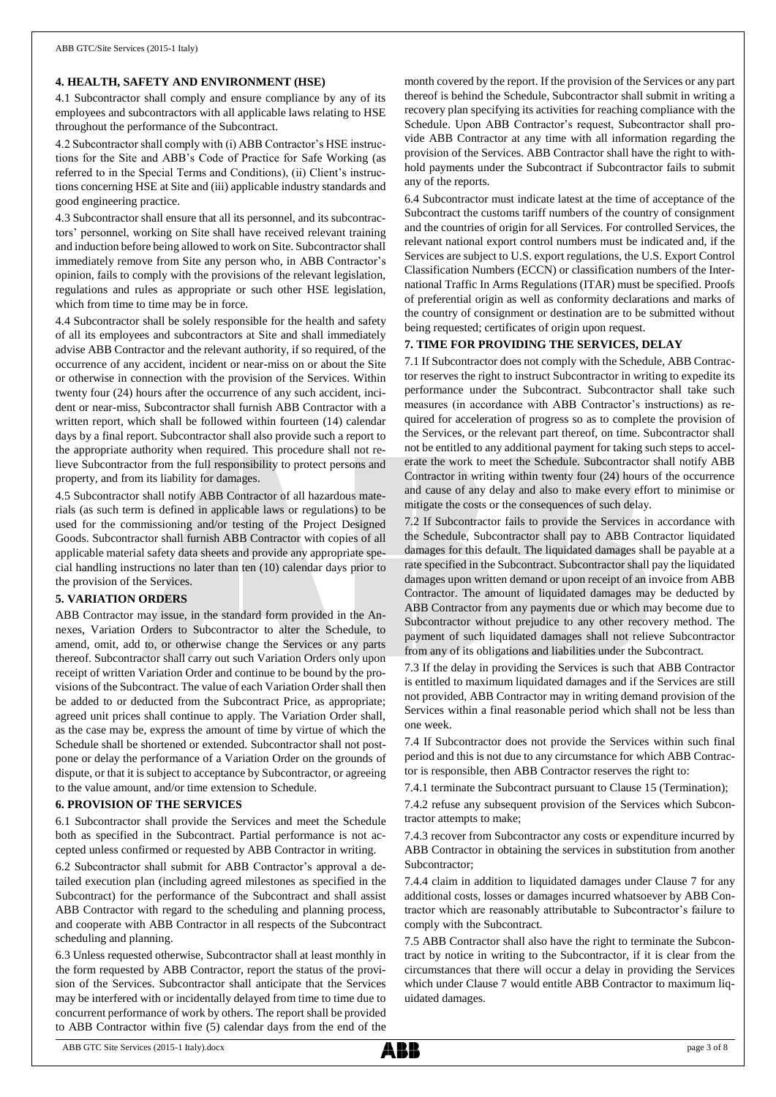#### **4. HEALTH, SAFETY AND ENVIRONMENT (HSE)**

4.1 Subcontractor shall comply and ensure compliance by any of its employees and subcontractors with all applicable laws relating to HSE throughout the performance of the Subcontract.

4.2 Subcontractor shall comply with (i) ABB Contractor's HSE instructions for the Site and ABB's Code of Practice for Safe Working (as referred to in the Special Terms and Conditions), (ii) Client's instructions concerning HSE at Site and (iii) applicable industry standards and good engineering practice.

4.3 Subcontractor shall ensure that all its personnel, and its subcontractors' personnel, working on Site shall have received relevant training and induction before being allowed to work on Site. Subcontractor shall immediately remove from Site any person who, in ABB Contractor's opinion, fails to comply with the provisions of the relevant legislation, regulations and rules as appropriate or such other HSE legislation, which from time to time may be in force.

4.4 Subcontractor shall be solely responsible for the health and safety of all its employees and subcontractors at Site and shall immediately advise ABB Contractor and the relevant authority, if so required, of the occurrence of any accident, incident or near-miss on or about the Site or otherwise in connection with the provision of the Services. Within twenty four (24) hours after the occurrence of any such accident, incident or near-miss, Subcontractor shall furnish ABB Contractor with a written report, which shall be followed within fourteen (14) calendar days by a final report. Subcontractor shall also provide such a report to the appropriate authority when required. This procedure shall not relieve Subcontractor from the full responsibility to protect persons and property, and from its liability for damages.

4.5 Subcontractor shall notify ABB Contractor of all hazardous materials (as such term is defined in applicable laws or regulations) to be used for the commissioning and/or testing of the Project Designed Goods. Subcontractor shall furnish ABB Contractor with copies of all applicable material safety data sheets and provide any appropriate special handling instructions no later than ten (10) calendar days prior to the provision of the Services.

#### **5. VARIATION ORDERS**

ABB Contractor may issue, in the standard form provided in the Annexes, Variation Orders to Subcontractor to alter the Schedule, to amend, omit, add to, or otherwise change the Services or any parts thereof. Subcontractor shall carry out such Variation Orders only upon receipt of written Variation Order and continue to be bound by the provisions of the Subcontract. The value of each Variation Order shall then be added to or deducted from the Subcontract Price, as appropriate; agreed unit prices shall continue to apply. The Variation Order shall, as the case may be, express the amount of time by virtue of which the Schedule shall be shortened or extended. Subcontractor shall not postpone or delay the performance of a Variation Order on the grounds of dispute, or that it is subject to acceptance by Subcontractor, or agreeing to the value amount, and/or time extension to Schedule.

#### **6. PROVISION OF THE SERVICES**

6.1 Subcontractor shall provide the Services and meet the Schedule both as specified in the Subcontract. Partial performance is not accepted unless confirmed or requested by ABB Contractor in writing.

6.2 Subcontractor shall submit for ABB Contractor's approval a detailed execution plan (including agreed milestones as specified in the Subcontract) for the performance of the Subcontract and shall assist ABB Contractor with regard to the scheduling and planning process, and cooperate with ABB Contractor in all respects of the Subcontract scheduling and planning.

6.3 Unless requested otherwise, Subcontractor shall at least monthly in the form requested by ABB Contractor, report the status of the provision of the Services. Subcontractor shall anticipate that the Services may be interfered with or incidentally delayed from time to time due to concurrent performance of work by others. The report shall be provided to ABB Contractor within five (5) calendar days from the end of the

month covered by the report. If the provision of the Services or any part thereof is behind the Schedule, Subcontractor shall submit in writing a recovery plan specifying its activities for reaching compliance with the Schedule. Upon ABB Contractor's request, Subcontractor shall provide ABB Contractor at any time with all information regarding the provision of the Services. ABB Contractor shall have the right to withhold payments under the Subcontract if Subcontractor fails to submit any of the reports.

6.4 Subcontractor must indicate latest at the time of acceptance of the Subcontract the customs tariff numbers of the country of consignment and the countries of origin for all Services. For controlled Services, the relevant national export control numbers must be indicated and, if the Services are subject to U.S. export regulations, the U.S. Export Control Classification Numbers (ECCN) or classification numbers of the International Traffic In Arms Regulations (ITAR) must be specified. Proofs of preferential origin as well as conformity declarations and marks of the country of consignment or destination are to be submitted without being requested; certificates of origin upon request.

#### **7. TIME FOR PROVIDING THE SERVICES, DELAY**

7.1 If Subcontractor does not comply with the Schedule, ABB Contractor reserves the right to instruct Subcontractor in writing to expedite its performance under the Subcontract. Subcontractor shall take such measures (in accordance with ABB Contractor's instructions) as required for acceleration of progress so as to complete the provision of the Services, or the relevant part thereof, on time. Subcontractor shall not be entitled to any additional payment for taking such steps to accelerate the work to meet the Schedule. Subcontractor shall notify ABB Contractor in writing within twenty four (24) hours of the occurrence and cause of any delay and also to make every effort to minimise or mitigate the costs or the consequences of such delay.

7.2 If Subcontractor fails to provide the Services in accordance with the Schedule, Subcontractor shall pay to ABB Contractor liquidated damages for this default. The liquidated damages shall be payable at a rate specified in the Subcontract. Subcontractor shall pay the liquidated damages upon written demand or upon receipt of an invoice from ABB Contractor. The amount of liquidated damages may be deducted by ABB Contractor from any payments due or which may become due to Subcontractor without prejudice to any other recovery method. The payment of such liquidated damages shall not relieve Subcontractor from any of its obligations and liabilities under the Subcontract.

7.3 If the delay in providing the Services is such that ABB Contractor is entitled to maximum liquidated damages and if the Services are still not provided, ABB Contractor may in writing demand provision of the Services within a final reasonable period which shall not be less than one week.

7.4 If Subcontractor does not provide the Services within such final period and this is not due to any circumstance for which ABB Contractor is responsible, then ABB Contractor reserves the right to:

7.4.1 terminate the Subcontract pursuant to Clause 15 (Termination);

7.4.2 refuse any subsequent provision of the Services which Subcontractor attempts to make;

7.4.3 recover from Subcontractor any costs or expenditure incurred by ABB Contractor in obtaining the services in substitution from another Subcontractor;

7.4.4 claim in addition to liquidated damages under Clause 7 for any additional costs, losses or damages incurred whatsoever by ABB Contractor which are reasonably attributable to Subcontractor's failure to comply with the Subcontract.

7.5 ABB Contractor shall also have the right to terminate the Subcontract by notice in writing to the Subcontractor, if it is clear from the circumstances that there will occur a delay in providing the Services which under Clause 7 would entitle ABB Contractor to maximum liquidated damages.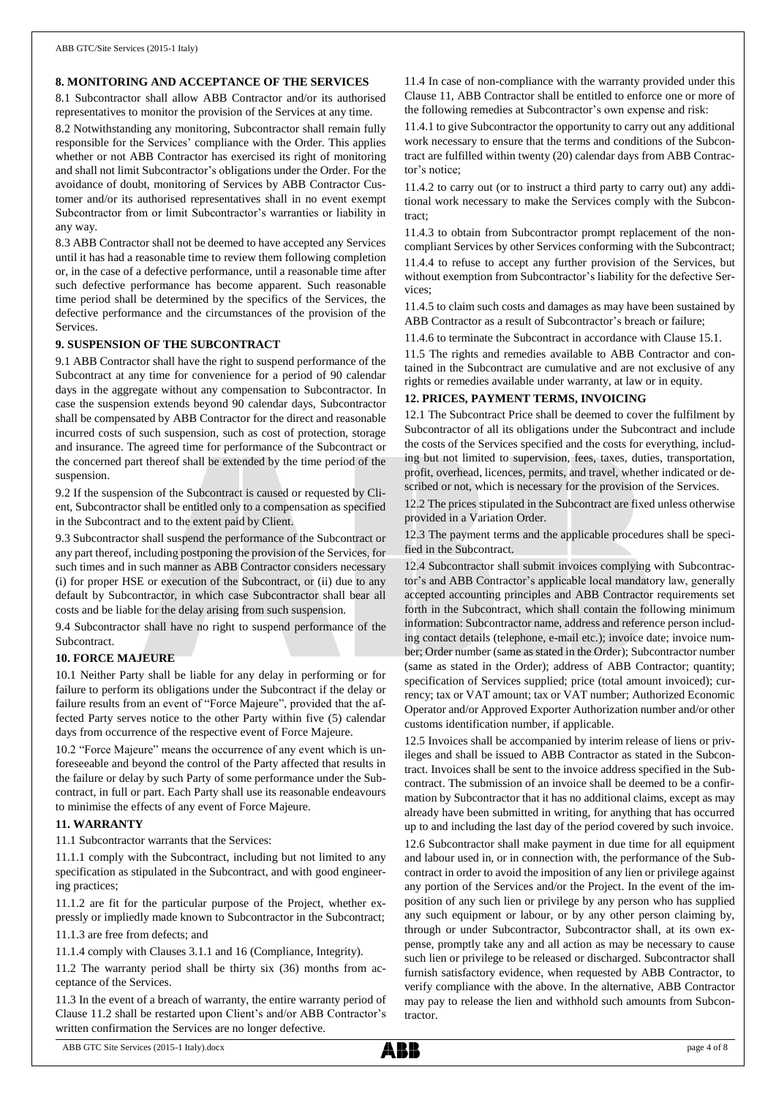#### **8. MONITORING AND ACCEPTANCE OF THE SERVICES**

8.1 Subcontractor shall allow ABB Contractor and/or its authorised representatives to monitor the provision of the Services at any time.

8.2 Notwithstanding any monitoring, Subcontractor shall remain fully responsible for the Services' compliance with the Order. This applies whether or not ABB Contractor has exercised its right of monitoring and shall not limit Subcontractor's obligations under the Order. For the avoidance of doubt, monitoring of Services by ABB Contractor Customer and/or its authorised representatives shall in no event exempt Subcontractor from or limit Subcontractor's warranties or liability in any way.

8.3 ABB Contractor shall not be deemed to have accepted any Services until it has had a reasonable time to review them following completion or, in the case of a defective performance, until a reasonable time after such defective performance has become apparent. Such reasonable time period shall be determined by the specifics of the Services, the defective performance and the circumstances of the provision of the Services.

#### **9. SUSPENSION OF THE SUBCONTRACT**

9.1 ABB Contractor shall have the right to suspend performance of the Subcontract at any time for convenience for a period of 90 calendar days in the aggregate without any compensation to Subcontractor. In case the suspension extends beyond 90 calendar days, Subcontractor shall be compensated by ABB Contractor for the direct and reasonable incurred costs of such suspension, such as cost of protection, storage and insurance. The agreed time for performance of the Subcontract or the concerned part thereof shall be extended by the time period of the suspension.

9.2 If the suspension of the Subcontract is caused or requested by Client, Subcontractor shall be entitled only to a compensation as specified in the Subcontract and to the extent paid by Client.

9.3 Subcontractor shall suspend the performance of the Subcontract or any part thereof, including postponing the provision of the Services, for such times and in such manner as ABB Contractor considers necessary (i) for proper HSE or execution of the Subcontract, or (ii) due to any default by Subcontractor, in which case Subcontractor shall bear all costs and be liable for the delay arising from such suspension.

9.4 Subcontractor shall have no right to suspend performance of the **Subcontract.** 

#### **10. FORCE MAJEURE**

10.1 Neither Party shall be liable for any delay in performing or for failure to perform its obligations under the Subcontract if the delay or failure results from an event of "Force Majeure", provided that the affected Party serves notice to the other Party within five (5) calendar days from occurrence of the respective event of Force Majeure.

10.2 "Force Majeure" means the occurrence of any event which is unforeseeable and beyond the control of the Party affected that results in the failure or delay by such Party of some performance under the Subcontract, in full or part. Each Party shall use its reasonable endeavours to minimise the effects of any event of Force Majeure.

#### **11. WARRANTY**

11.1 Subcontractor warrants that the Services:

11.1.1 comply with the Subcontract, including but not limited to any specification as stipulated in the Subcontract, and with good engineering practices;

11.1.2 are fit for the particular purpose of the Project, whether expressly or impliedly made known to Subcontractor in the Subcontract;

11.1.3 are free from defects; and

11.1.4 comply with Clauses 3.1.1 and 16 (Compliance, Integrity).

11.2 The warranty period shall be thirty six (36) months from acceptance of the Services.

11.3 In the event of a breach of warranty, the entire warranty period of Clause 11.2 shall be restarted upon Client's and/or ABB Contractor's written confirmation the Services are no longer defective.

11.4 In case of non-compliance with the warranty provided under this Clause 11, ABB Contractor shall be entitled to enforce one or more of the following remedies at Subcontractor's own expense and risk:

11.4.1 to give Subcontractor the opportunity to carry out any additional work necessary to ensure that the terms and conditions of the Subcontract are fulfilled within twenty (20) calendar days from ABB Contractor's notice;

11.4.2 to carry out (or to instruct a third party to carry out) any additional work necessary to make the Services comply with the Subcontract;

11.4.3 to obtain from Subcontractor prompt replacement of the noncompliant Services by other Services conforming with the Subcontract; 11.4.4 to refuse to accept any further provision of the Services, but without exemption from Subcontractor's liability for the defective Services;

11.4.5 to claim such costs and damages as may have been sustained by ABB Contractor as a result of Subcontractor's breach or failure;

11.4.6 to terminate the Subcontract in accordance with Clause 15.1.

11.5 The rights and remedies available to ABB Contractor and contained in the Subcontract are cumulative and are not exclusive of any rights or remedies available under warranty, at law or in equity.

#### **12. PRICES, PAYMENT TERMS, INVOICING**

12.1 The Subcontract Price shall be deemed to cover the fulfilment by Subcontractor of all its obligations under the Subcontract and include the costs of the Services specified and the costs for everything, including but not limited to supervision, fees, taxes, duties, transportation, profit, overhead, licences, permits, and travel, whether indicated or described or not, which is necessary for the provision of the Services.

12.2 The prices stipulated in the Subcontract are fixed unless otherwise provided in a Variation Order.

12.3 The payment terms and the applicable procedures shall be specified in the Subcontract.

12.4 Subcontractor shall submit invoices complying with Subcontractor's and ABB Contractor's applicable local mandatory law, generally accepted accounting principles and ABB Contractor requirements set forth in the Subcontract, which shall contain the following minimum information: Subcontractor name, address and reference person including contact details (telephone, e-mail etc.); invoice date; invoice number; Order number (same as stated in the Order); Subcontractor number (same as stated in the Order); address of ABB Contractor; quantity; specification of Services supplied; price (total amount invoiced); currency; tax or VAT amount; tax or VAT number; Authorized Economic Operator and/or Approved Exporter Authorization number and/or other customs identification number, if applicable.

12.5 Invoices shall be accompanied by interim release of liens or privileges and shall be issued to ABB Contractor as stated in the Subcontract. Invoices shall be sent to the invoice address specified in the Subcontract. The submission of an invoice shall be deemed to be a confirmation by Subcontractor that it has no additional claims, except as may already have been submitted in writing, for anything that has occurred up to and including the last day of the period covered by such invoice.

12.6 Subcontractor shall make payment in due time for all equipment and labour used in, or in connection with, the performance of the Subcontract in order to avoid the imposition of any lien or privilege against any portion of the Services and/or the Project. In the event of the imposition of any such lien or privilege by any person who has supplied any such equipment or labour, or by any other person claiming by, through or under Subcontractor, Subcontractor shall, at its own expense, promptly take any and all action as may be necessary to cause such lien or privilege to be released or discharged. Subcontractor shall furnish satisfactory evidence, when requested by ABB Contractor, to verify compliance with the above. In the alternative, ABB Contractor may pay to release the lien and withhold such amounts from Subcontractor.

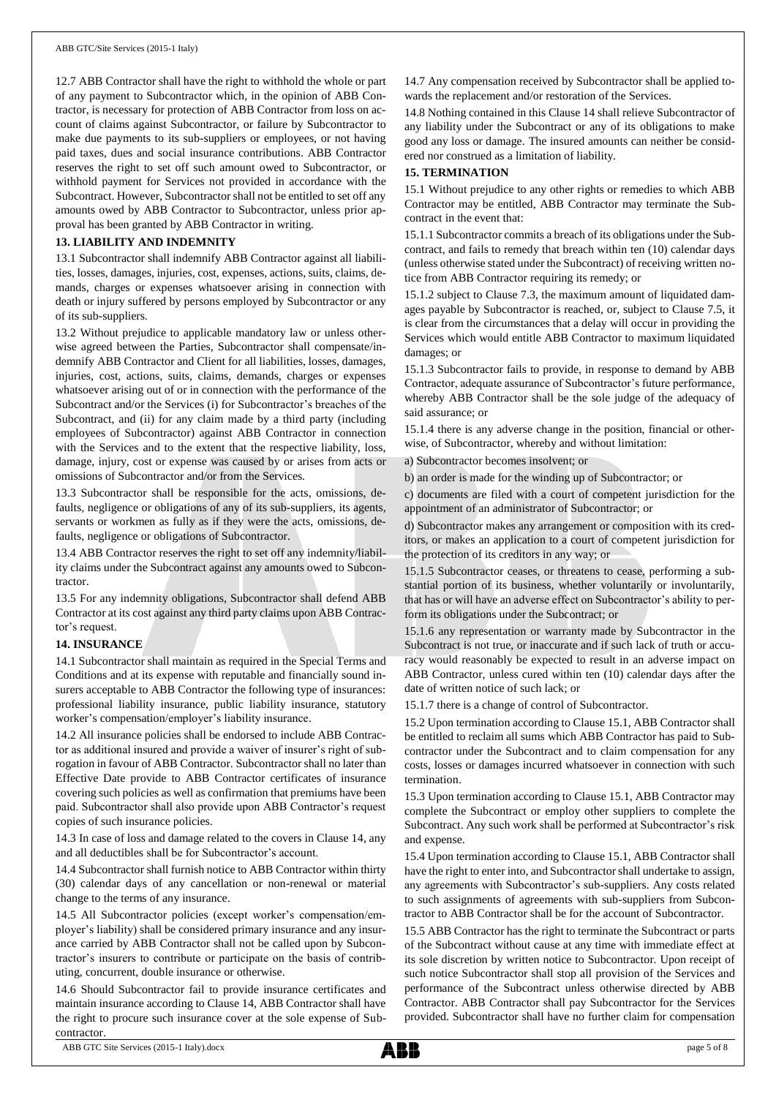12.7 ABB Contractor shall have the right to withhold the whole or part of any payment to Subcontractor which, in the opinion of ABB Contractor, is necessary for protection of ABB Contractor from loss on account of claims against Subcontractor, or failure by Subcontractor to make due payments to its sub-suppliers or employees, or not having paid taxes, dues and social insurance contributions. ABB Contractor reserves the right to set off such amount owed to Subcontractor, or withhold payment for Services not provided in accordance with the Subcontract. However, Subcontractor shall not be entitled to set off any amounts owed by ABB Contractor to Subcontractor, unless prior approval has been granted by ABB Contractor in writing.

### **13. LIABILITY AND INDEMNITY**

13.1 Subcontractor shall indemnify ABB Contractor against all liabilities, losses, damages, injuries, cost, expenses, actions, suits, claims, demands, charges or expenses whatsoever arising in connection with death or injury suffered by persons employed by Subcontractor or any of its sub-suppliers.

13.2 Without prejudice to applicable mandatory law or unless otherwise agreed between the Parties, Subcontractor shall compensate/indemnify ABB Contractor and Client for all liabilities, losses, damages, injuries, cost, actions, suits, claims, demands, charges or expenses whatsoever arising out of or in connection with the performance of the Subcontract and/or the Services (i) for Subcontractor's breaches of the Subcontract, and (ii) for any claim made by a third party (including employees of Subcontractor) against ABB Contractor in connection with the Services and to the extent that the respective liability, loss, damage, injury, cost or expense was caused by or arises from acts or omissions of Subcontractor and/or from the Services.

13.3 Subcontractor shall be responsible for the acts, omissions, defaults, negligence or obligations of any of its sub-suppliers, its agents, servants or workmen as fully as if they were the acts, omissions, defaults, negligence or obligations of Subcontractor.

13.4 ABB Contractor reserves the right to set off any indemnity/liability claims under the Subcontract against any amounts owed to Subcontractor.

13.5 For any indemnity obligations, Subcontractor shall defend ABB Contractor at its cost against any third party claims upon ABB Contractor's request.

#### **14. INSURANCE**

14.1 Subcontractor shall maintain as required in the Special Terms and Conditions and at its expense with reputable and financially sound insurers acceptable to ABB Contractor the following type of insurances: professional liability insurance, public liability insurance, statutory worker's compensation/employer's liability insurance.

14.2 All insurance policies shall be endorsed to include ABB Contractor as additional insured and provide a waiver of insurer's right of subrogation in favour of ABB Contractor. Subcontractor shall no later than Effective Date provide to ABB Contractor certificates of insurance covering such policies as well as confirmation that premiums have been paid. Subcontractor shall also provide upon ABB Contractor's request copies of such insurance policies.

14.3 In case of loss and damage related to the covers in Clause 14, any and all deductibles shall be for Subcontractor's account.

14.4 Subcontractor shall furnish notice to ABB Contractor within thirty (30) calendar days of any cancellation or non-renewal or material change to the terms of any insurance.

14.5 All Subcontractor policies (except worker's compensation/employer's liability) shall be considered primary insurance and any insurance carried by ABB Contractor shall not be called upon by Subcontractor's insurers to contribute or participate on the basis of contributing, concurrent, double insurance or otherwise.

14.6 Should Subcontractor fail to provide insurance certificates and maintain insurance according to Clause 14, ABB Contractor shall have the right to procure such insurance cover at the sole expense of Subcontractor.

14.7 Any compensation received by Subcontractor shall be applied towards the replacement and/or restoration of the Services.

14.8 Nothing contained in this Clause 14 shall relieve Subcontractor of any liability under the Subcontract or any of its obligations to make good any loss or damage. The insured amounts can neither be considered nor construed as a limitation of liability.

#### **15. TERMINATION**

15.1 Without prejudice to any other rights or remedies to which ABB Contractor may be entitled, ABB Contractor may terminate the Subcontract in the event that:

15.1.1 Subcontractor commits a breach of its obligations under the Subcontract, and fails to remedy that breach within ten (10) calendar days (unless otherwise stated under the Subcontract) of receiving written notice from ABB Contractor requiring its remedy; or

15.1.2 subject to Clause 7.3, the maximum amount of liquidated damages payable by Subcontractor is reached, or, subject to Clause 7.5, it is clear from the circumstances that a delay will occur in providing the Services which would entitle ABB Contractor to maximum liquidated damages; or

15.1.3 Subcontractor fails to provide, in response to demand by ABB Contractor, adequate assurance of Subcontractor's future performance, whereby ABB Contractor shall be the sole judge of the adequacy of said assurance; or

15.1.4 there is any adverse change in the position, financial or otherwise, of Subcontractor, whereby and without limitation:

a) Subcontractor becomes insolvent; or

b) an order is made for the winding up of Subcontractor; or

c) documents are filed with a court of competent jurisdiction for the appointment of an administrator of Subcontractor; or

d) Subcontractor makes any arrangement or composition with its creditors, or makes an application to a court of competent jurisdiction for the protection of its creditors in any way; or

15.1.5 Subcontractor ceases, or threatens to cease, performing a substantial portion of its business, whether voluntarily or involuntarily, that has or will have an adverse effect on Subcontractor's ability to perform its obligations under the Subcontract; or

15.1.6 any representation or warranty made by Subcontractor in the Subcontract is not true, or inaccurate and if such lack of truth or accuracy would reasonably be expected to result in an adverse impact on ABB Contractor, unless cured within ten (10) calendar days after the date of written notice of such lack; or

15.1.7 there is a change of control of Subcontractor.

15.2 Upon termination according to Clause 15.1, ABB Contractor shall be entitled to reclaim all sums which ABB Contractor has paid to Subcontractor under the Subcontract and to claim compensation for any costs, losses or damages incurred whatsoever in connection with such termination.

15.3 Upon termination according to Clause 15.1, ABB Contractor may complete the Subcontract or employ other suppliers to complete the Subcontract. Any such work shall be performed at Subcontractor's risk and expense.

15.4 Upon termination according to Clause 15.1, ABB Contractor shall have the right to enter into, and Subcontractor shall undertake to assign, any agreements with Subcontractor's sub-suppliers. Any costs related to such assignments of agreements with sub-suppliers from Subcontractor to ABB Contractor shall be for the account of Subcontractor.

15.5 ABB Contractor has the right to terminate the Subcontract or parts of the Subcontract without cause at any time with immediate effect at its sole discretion by written notice to Subcontractor. Upon receipt of such notice Subcontractor shall stop all provision of the Services and performance of the Subcontract unless otherwise directed by ABB Contractor. ABB Contractor shall pay Subcontractor for the Services provided. Subcontractor shall have no further claim for compensation

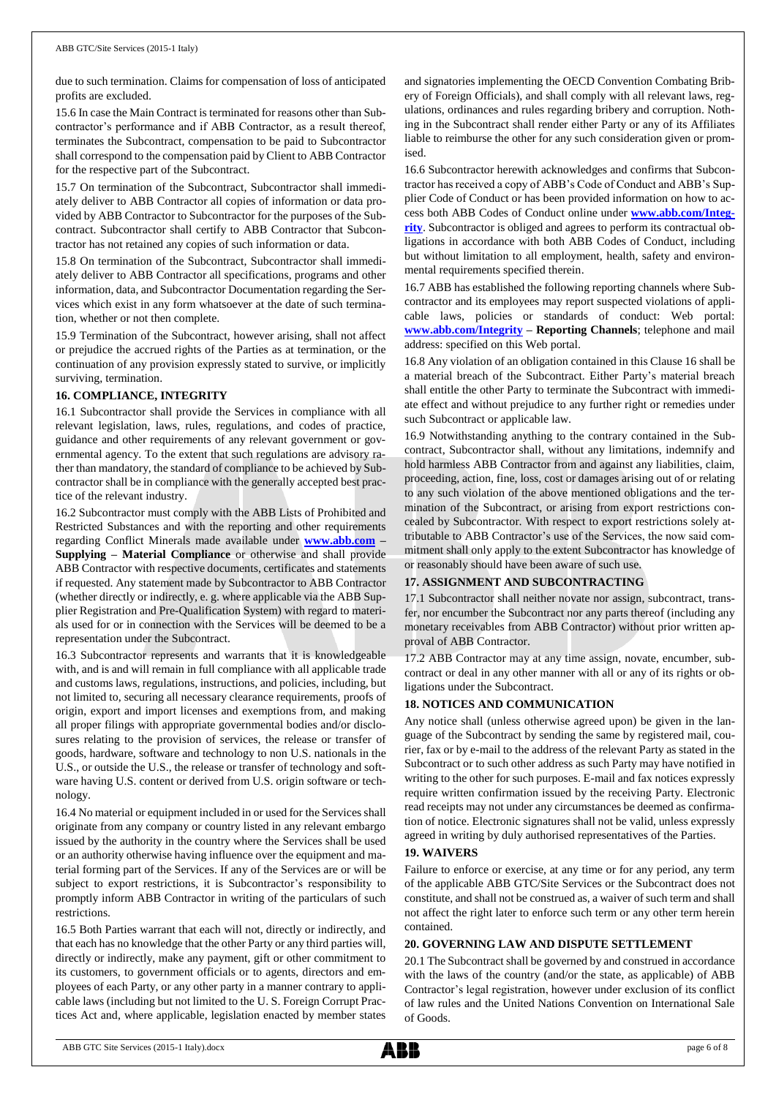due to such termination. Claims for compensation of loss of anticipated profits are excluded.

15.6 In case the Main Contract is terminated for reasons other than Subcontractor's performance and if ABB Contractor, as a result thereof, terminates the Subcontract, compensation to be paid to Subcontractor shall correspond to the compensation paid by Client to ABB Contractor for the respective part of the Subcontract.

15.7 On termination of the Subcontract, Subcontractor shall immediately deliver to ABB Contractor all copies of information or data provided by ABB Contractor to Subcontractor for the purposes of the Subcontract. Subcontractor shall certify to ABB Contractor that Subcontractor has not retained any copies of such information or data.

15.8 On termination of the Subcontract, Subcontractor shall immediately deliver to ABB Contractor all specifications, programs and other information, data, and Subcontractor Documentation regarding the Services which exist in any form whatsoever at the date of such termination, whether or not then complete.

15.9 Termination of the Subcontract, however arising, shall not affect or prejudice the accrued rights of the Parties as at termination, or the continuation of any provision expressly stated to survive, or implicitly surviving, termination.

#### **16. COMPLIANCE, INTEGRITY**

16.1 Subcontractor shall provide the Services in compliance with all relevant legislation, laws, rules, regulations, and codes of practice, guidance and other requirements of any relevant government or governmental agency. To the extent that such regulations are advisory rather than mandatory, the standard of compliance to be achieved by Subcontractor shall be in compliance with the generally accepted best practice of the relevant industry.

16.2 Subcontractor must comply with the ABB Lists of Prohibited and Restricted Substances and with the reporting and other requirements regarding Conflict Minerals made available under **[www.abb.com](http://www.abb.com/) – Supplying – Material Compliance** or otherwise and shall provide ABB Contractor with respective documents, certificates and statements if requested. Any statement made by Subcontractor to ABB Contractor (whether directly or indirectly, e. g. where applicable via the ABB Supplier Registration and Pre-Qualification System) with regard to materials used for or in connection with the Services will be deemed to be a representation under the Subcontract.

16.3 Subcontractor represents and warrants that it is knowledgeable with, and is and will remain in full compliance with all applicable trade and customs laws, regulations, instructions, and policies, including, but not limited to, securing all necessary clearance requirements, proofs of origin, export and import licenses and exemptions from, and making all proper filings with appropriate governmental bodies and/or disclosures relating to the provision of services, the release or transfer of goods, hardware, software and technology to non U.S. nationals in the U.S., or outside the U.S., the release or transfer of technology and software having U.S. content or derived from U.S. origin software or technology.

16.4 No material or equipment included in or used for the Services shall originate from any company or country listed in any relevant embargo issued by the authority in the country where the Services shall be used or an authority otherwise having influence over the equipment and material forming part of the Services. If any of the Services are or will be subject to export restrictions, it is Subcontractor's responsibility to promptly inform ABB Contractor in writing of the particulars of such restrictions.

16.5 Both Parties warrant that each will not, directly or indirectly, and that each has no knowledge that the other Party or any third parties will, directly or indirectly, make any payment, gift or other commitment to its customers, to government officials or to agents, directors and employees of each Party, or any other party in a manner contrary to applicable laws (including but not limited to the U. S. Foreign Corrupt Practices Act and, where applicable, legislation enacted by member states and signatories implementing the OECD Convention Combating Bribery of Foreign Officials), and shall comply with all relevant laws, regulations, ordinances and rules regarding bribery and corruption. Nothing in the Subcontract shall render either Party or any of its Affiliates liable to reimburse the other for any such consideration given or promised.

16.6 Subcontractor herewith acknowledges and confirms that Subcontractor has received a copy of ABB's Code of Conduct and ABB's Supplier Code of Conduct or has been provided information on how to access both ABB Codes of Conduct online under **[www.abb.com/Integ](http://www.abb.com/Integrity)[rity](http://www.abb.com/Integrity)**. Subcontractor is obliged and agrees to perform its contractual obligations in accordance with both ABB Codes of Conduct, including but without limitation to all employment, health, safety and environmental requirements specified therein.

16.7 ABB has established the following reporting channels where Subcontractor and its employees may report suspected violations of applicable laws, policies or standards of conduct: Web portal: **[www.abb.com/Integrity](http://www.abb.com/Integrity) – Reporting Channels**; telephone and mail address: specified on this Web portal.

16.8 Any violation of an obligation contained in this Clause 16 shall be a material breach of the Subcontract. Either Party's material breach shall entitle the other Party to terminate the Subcontract with immediate effect and without prejudice to any further right or remedies under such Subcontract or applicable law.

16.9 Notwithstanding anything to the contrary contained in the Subcontract, Subcontractor shall, without any limitations, indemnify and hold harmless ABB Contractor from and against any liabilities, claim, proceeding, action, fine, loss, cost or damages arising out of or relating to any such violation of the above mentioned obligations and the termination of the Subcontract, or arising from export restrictions concealed by Subcontractor. With respect to export restrictions solely attributable to ABB Contractor's use of the Services, the now said commitment shall only apply to the extent Subcontractor has knowledge of or reasonably should have been aware of such use.

### **17. ASSIGNMENT AND SUBCONTRACTING**

17.1 Subcontractor shall neither novate nor assign, subcontract, transfer, nor encumber the Subcontract nor any parts thereof (including any monetary receivables from ABB Contractor) without prior written approval of ABB Contractor.

17.2 ABB Contractor may at any time assign, novate, encumber, subcontract or deal in any other manner with all or any of its rights or obligations under the Subcontract.

#### **18. NOTICES AND COMMUNICATION**

Any notice shall (unless otherwise agreed upon) be given in the language of the Subcontract by sending the same by registered mail, courier, fax or by e-mail to the address of the relevant Party as stated in the Subcontract or to such other address as such Party may have notified in writing to the other for such purposes. E-mail and fax notices expressly require written confirmation issued by the receiving Party. Electronic read receipts may not under any circumstances be deemed as confirmation of notice. Electronic signatures shall not be valid, unless expressly agreed in writing by duly authorised representatives of the Parties.

#### **19. WAIVERS**

Failure to enforce or exercise, at any time or for any period, any term of the applicable ABB GTC/Site Services or the Subcontract does not constitute, and shall not be construed as, a waiver of such term and shall not affect the right later to enforce such term or any other term herein contained.

#### **20. GOVERNING LAW AND DISPUTE SETTLEMENT**

20.1 The Subcontract shall be governed by and construed in accordance with the laws of the country (and/or the state, as applicable) of ABB Contractor's legal registration, however under exclusion of its conflict of law rules and the United Nations Convention on International Sale of Goods.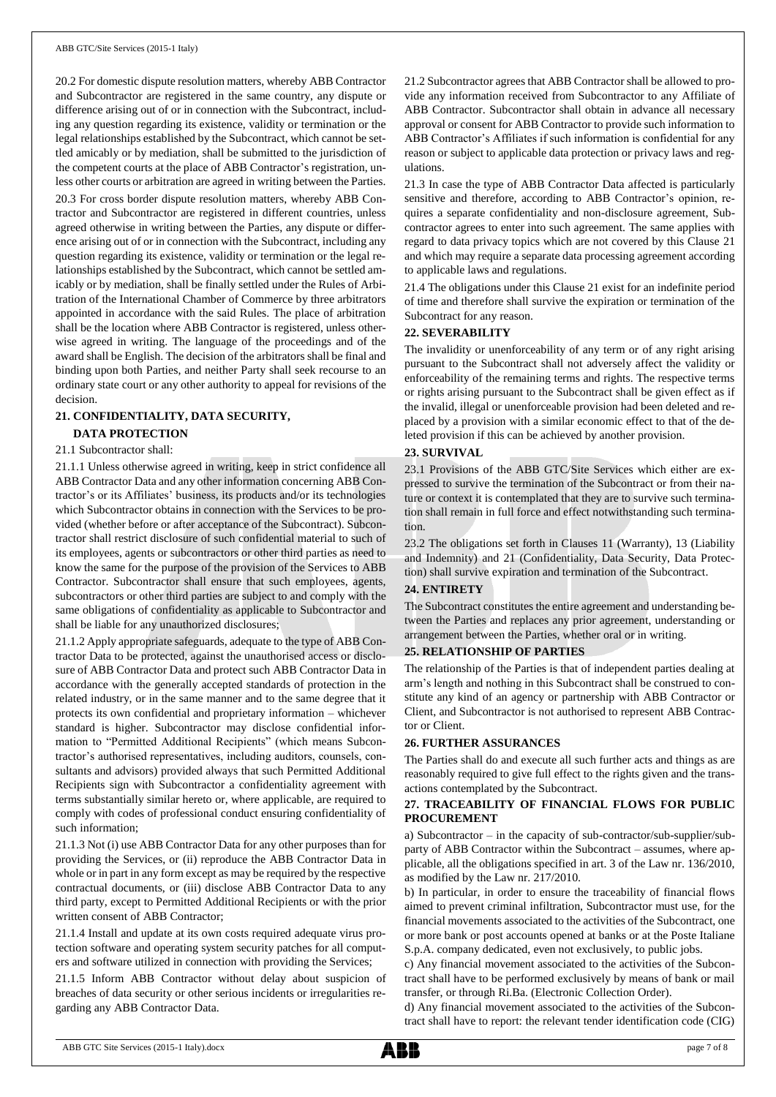20.2 For domestic dispute resolution matters, whereby ABB Contractor and Subcontractor are registered in the same country, any dispute or difference arising out of or in connection with the Subcontract, including any question regarding its existence, validity or termination or the legal relationships established by the Subcontract, which cannot be settled amicably or by mediation, shall be submitted to the jurisdiction of the competent courts at the place of ABB Contractor's registration, unless other courts or arbitration are agreed in writing between the Parties. 20.3 For cross border dispute resolution matters, whereby ABB Contractor and Subcontractor are registered in different countries, unless agreed otherwise in writing between the Parties, any dispute or difference arising out of or in connection with the Subcontract, including any question regarding its existence, validity or termination or the legal relationships established by the Subcontract, which cannot be settled amicably or by mediation, shall be finally settled under the Rules of Arbitration of the International Chamber of Commerce by three arbitrators appointed in accordance with the said Rules. The place of arbitration shall be the location where ABB Contractor is registered, unless otherwise agreed in writing. The language of the proceedings and of the award shall be English. The decision of the arbitrators shall be final and binding upon both Parties, and neither Party shall seek recourse to an ordinary state court or any other authority to appeal for revisions of the decision.

#### **21. CONFIDENTIALITY, DATA SECURITY,**

## **DATA PROTECTION**

## 21.1 Subcontractor shall:

21.1.1 Unless otherwise agreed in writing, keep in strict confidence all ABB Contractor Data and any other information concerning ABB Contractor's or its Affiliates' business, its products and/or its technologies which Subcontractor obtains in connection with the Services to be provided (whether before or after acceptance of the Subcontract). Subcontractor shall restrict disclosure of such confidential material to such of its employees, agents or subcontractors or other third parties as need to know the same for the purpose of the provision of the Services to ABB Contractor. Subcontractor shall ensure that such employees, agents, subcontractors or other third parties are subject to and comply with the same obligations of confidentiality as applicable to Subcontractor and shall be liable for any unauthorized disclosures;

21.1.2 Apply appropriate safeguards, adequate to the type of ABB Contractor Data to be protected, against the unauthorised access or disclosure of ABB Contractor Data and protect such ABB Contractor Data in accordance with the generally accepted standards of protection in the related industry, or in the same manner and to the same degree that it protects its own confidential and proprietary information – whichever standard is higher. Subcontractor may disclose confidential information to "Permitted Additional Recipients" (which means Subcontractor's authorised representatives, including auditors, counsels, consultants and advisors) provided always that such Permitted Additional Recipients sign with Subcontractor a confidentiality agreement with terms substantially similar hereto or, where applicable, are required to comply with codes of professional conduct ensuring confidentiality of such information;

21.1.3 Not (i) use ABB Contractor Data for any other purposes than for providing the Services, or (ii) reproduce the ABB Contractor Data in whole or in part in any form except as may be required by the respective contractual documents, or (iii) disclose ABB Contractor Data to any third party, except to Permitted Additional Recipients or with the prior written consent of ABB Contractor;

21.1.4 Install and update at its own costs required adequate virus protection software and operating system security patches for all computers and software utilized in connection with providing the Services;

21.1.5 Inform ABB Contractor without delay about suspicion of breaches of data security or other serious incidents or irregularities regarding any ABB Contractor Data.

21.2 Subcontractor agrees that ABB Contractor shall be allowed to provide any information received from Subcontractor to any Affiliate of ABB Contractor. Subcontractor shall obtain in advance all necessary approval or consent for ABB Contractor to provide such information to ABB Contractor's Affiliates if such information is confidential for any reason or subject to applicable data protection or privacy laws and regulations.

21.3 In case the type of ABB Contractor Data affected is particularly sensitive and therefore, according to ABB Contractor's opinion, requires a separate confidentiality and non-disclosure agreement, Subcontractor agrees to enter into such agreement. The same applies with regard to data privacy topics which are not covered by this Clause 21 and which may require a separate data processing agreement according to applicable laws and regulations.

21.4 The obligations under this Clause 21 exist for an indefinite period of time and therefore shall survive the expiration or termination of the Subcontract for any reason.

#### **22. SEVERABILITY**

The invalidity or unenforceability of any term or of any right arising pursuant to the Subcontract shall not adversely affect the validity or enforceability of the remaining terms and rights. The respective terms or rights arising pursuant to the Subcontract shall be given effect as if the invalid, illegal or unenforceable provision had been deleted and replaced by a provision with a similar economic effect to that of the deleted provision if this can be achieved by another provision.

#### **23. SURVIVAL**

23.1 Provisions of the ABB GTC/Site Services which either are expressed to survive the termination of the Subcontract or from their nature or context it is contemplated that they are to survive such termination shall remain in full force and effect notwithstanding such termination.

23.2 The obligations set forth in Clauses 11 (Warranty), 13 (Liability and Indemnity) and 21 (Confidentiality, Data Security, Data Protection) shall survive expiration and termination of the Subcontract.

### **24. ENTIRETY**

The Subcontract constitutes the entire agreement and understanding between the Parties and replaces any prior agreement, understanding or arrangement between the Parties, whether oral or in writing.

#### **25. RELATIONSHIP OF PARTIES**

The relationship of the Parties is that of independent parties dealing at arm's length and nothing in this Subcontract shall be construed to constitute any kind of an agency or partnership with ABB Contractor or Client, and Subcontractor is not authorised to represent ABB Contractor or Client.

#### **26. FURTHER ASSURANCES**

The Parties shall do and execute all such further acts and things as are reasonably required to give full effect to the rights given and the transactions contemplated by the Subcontract.

#### **27. TRACEABILITY OF FINANCIAL FLOWS FOR PUBLIC PROCUREMENT**

a) Subcontractor – in the capacity of sub-contractor/sub-supplier/subparty of ABB Contractor within the Subcontract – assumes, where applicable, all the obligations specified in art. 3 of the Law nr. 136/2010, as modified by the Law nr. 217/2010.

b) In particular, in order to ensure the traceability of financial flows aimed to prevent criminal infiltration, Subcontractor must use, for the financial movements associated to the activities of the Subcontract, one or more bank or post accounts opened at banks or at the Poste Italiane S.p.A. company dedicated, even not exclusively, to public jobs.

c) Any financial movement associated to the activities of the Subcontract shall have to be performed exclusively by means of bank or mail transfer, or through Ri.Ba. (Electronic Collection Order).

d) Any financial movement associated to the activities of the Subcontract shall have to report: the relevant tender identification code (CIG)